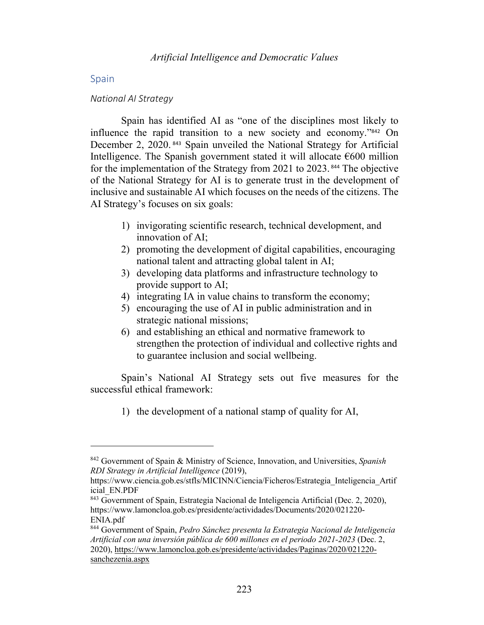## **Spain**

#### *National AI Strategy*

Spain has identified AI as "one of the disciplines most likely to influence the rapid transition to a new society and economy."<sup>842</sup> On December 2, 2020. <sup>843</sup> Spain unveiled the National Strategy for Artificial Intelligence. The Spanish government stated it will allocate  $\epsilon$ 600 million for the implementation of the Strategy from 2021 to 2023. <sup>844</sup> The objective of the National Strategy for AI is to generate trust in the development of inclusive and sustainable AI which focuses on the needs of the citizens. The AI Strategy's focuses on six goals:

- 1) invigorating scientific research, technical development, and innovation of AI;
- 2) promoting the development of digital capabilities, encouraging national talent and attracting global talent in AI;
- 3) developing data platforms and infrastructure technology to provide support to AI;
- 4) integrating IA in value chains to transform the economy;
- 5) encouraging the use of AI in public administration and in strategic national missions;
- 6) and establishing an ethical and normative framework to strengthen the protection of individual and collective rights and to guarantee inclusion and social wellbeing.

Spain's National AI Strategy sets out five measures for the successful ethical framework:

1) the development of a national stamp of quality for AI,

<sup>842</sup> Government of Spain & Ministry of Science, Innovation, and Universities, *Spanish RDI Strategy in Artificial Intelligence* (2019),

https://www.ciencia.gob.es/stfls/MICINN/Ciencia/Ficheros/Estrategia\_Inteligencia\_Artif icial\_EN.PDF

<sup>843</sup> Government of Spain, Estrategia Nacional de Inteligencia Artificial (Dec. 2, 2020), https://www.lamoncloa.gob.es/presidente/actividades/Documents/2020/021220- ENIA.pdf

<sup>844</sup> Government of Spain, *Pedro Sánchez presenta la Estrategia Nacional de Inteligencia Artificial con una inversión pública de 600 millones en el periodo 2021-2023* (Dec. 2, 2020), https://www.lamoncloa.gob.es/presidente/actividades/Paginas/2020/021220 sanchezenia.aspx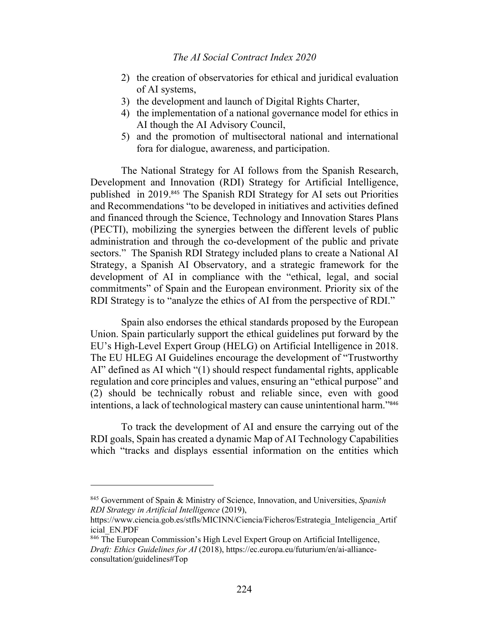- 2) the creation of observatories for ethical and juridical evaluation of AI systems,
- 3) the development and launch of Digital Rights Charter,
- 4) the implementation of a national governance model for ethics in AI though the AI Advisory Council,
- 5) and the promotion of multisectoral national and international fora for dialogue, awareness, and participation.

The National Strategy for AI follows from the Spanish Research, Development and Innovation (RDI) Strategy for Artificial Intelligence, published in 2019.<sup>845</sup> The Spanish RDI Strategy for AI sets out Priorities and Recommendations "to be developed in initiatives and activities defined and financed through the Science, Technology and Innovation Stares Plans (PECTI), mobilizing the synergies between the different levels of public administration and through the co-development of the public and private sectors." The Spanish RDI Strategy included plans to create a National AI Strategy, a Spanish AI Observatory, and a strategic framework for the development of AI in compliance with the "ethical, legal, and social commitments" of Spain and the European environment. Priority six of the RDI Strategy is to "analyze the ethics of AI from the perspective of RDI."

Spain also endorses the ethical standards proposed by the European Union. Spain particularly support the ethical guidelines put forward by the EU's High-Level Expert Group (HELG) on Artificial Intelligence in 2018. The EU HLEG AI Guidelines encourage the development of "Trustworthy AI" defined as AI which "(1) should respect fundamental rights, applicable regulation and core principles and values, ensuring an "ethical purpose" and (2) should be technically robust and reliable since, even with good intentions, a lack of technological mastery can cause unintentional harm."<sup>846</sup>

To track the development of AI and ensure the carrying out of the RDI goals, Spain has created a dynamic Map of AI Technology Capabilities which "tracks and displays essential information on the entities which

<sup>845</sup> Government of Spain & Ministry of Science, Innovation, and Universities, *Spanish RDI Strategy in Artificial Intelligence* (2019),

https://www.ciencia.gob.es/stfls/MICINN/Ciencia/Ficheros/Estrategia\_Inteligencia\_Artif icial\_EN.PDF

<sup>846</sup> The European Commission's High Level Expert Group on Artificial Intelligence, *Draft: Ethics Guidelines for AI* (2018), https://ec.europa.eu/futurium/en/ai-allianceconsultation/guidelines#Top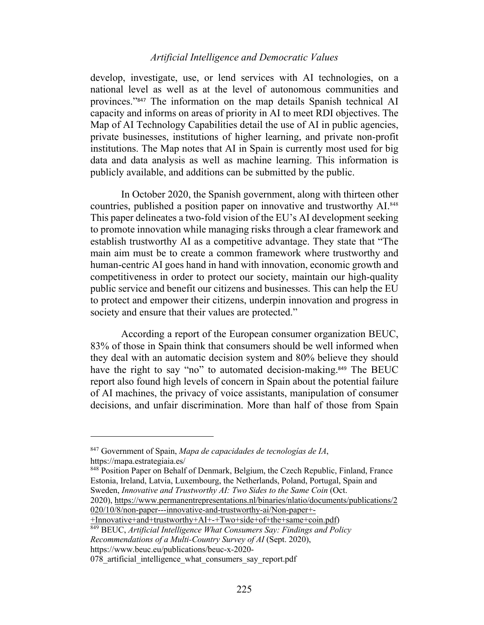# *Artificial Intelligence and Democratic Values*

develop, investigate, use, or lend services with AI technologies, on a national level as well as at the level of autonomous communities and provinces."<sup>847</sup> The information on the map details Spanish technical AI capacity and informs on areas of priority in AI to meet RDI objectives. The Map of AI Technology Capabilities detail the use of AI in public agencies, private businesses, institutions of higher learning, and private non-profit institutions. The Map notes that AI in Spain is currently most used for big data and data analysis as well as machine learning. This information is publicly available, and additions can be submitted by the public.

In October 2020, the Spanish government, along with thirteen other countries, published a position paper on innovative and trustworthy AI.848 This paper delineates a two-fold vision of the EU's AI development seeking to promote innovation while managing risks through a clear framework and establish trustworthy AI as a competitive advantage. They state that "The main aim must be to create a common framework where trustworthy and human-centric AI goes hand in hand with innovation, economic growth and competitiveness in order to protect our society, maintain our high-quality public service and benefit our citizens and businesses. This can help the EU to protect and empower their citizens, underpin innovation and progress in society and ensure that their values are protected."

According a report of the European consumer organization BEUC, 83% of those in Spain think that consumers should be well informed when they deal with an automatic decision system and 80% believe they should have the right to say "no" to automated decision-making.<sup>849</sup> The BEUC report also found high levels of concern in Spain about the potential failure of AI machines, the privacy of voice assistants, manipulation of consumer decisions, and unfair discrimination. More than half of those from Spain

<sup>848</sup> Position Paper on Behalf of Denmark, Belgium, the Czech Republic, Finland, France Estonia, Ireland, Latvia, Luxembourg, the Netherlands, Poland, Portugal, Spain and Sweden, *Innovative and Trustworthy AI: Two Sides to the Same Coin* (Oct. 2020), https://www.permanentrepresentations.nl/binaries/nlatio/documents/publications/2

020/10/8/non-paper---innovative-and-trustworthy-ai/Non-paper+-

+Innovative+and+trustworthy+AI+-+Two+side+of+the+same+coin.pdf)

<sup>849</sup> BEUC, *Artificial Intelligence What Consumers Say: Findings and Policy Recommendations of a Multi-Country Survey of AI* (Sept. 2020), https://www.beuc.eu/publications/beuc-x-2020-

078 artificial intelligence what consumers say report.pdf

<sup>847</sup> Government of Spain, *Mapa de capacidades de tecnologías de IA*, https://mapa.estrategiaia.es/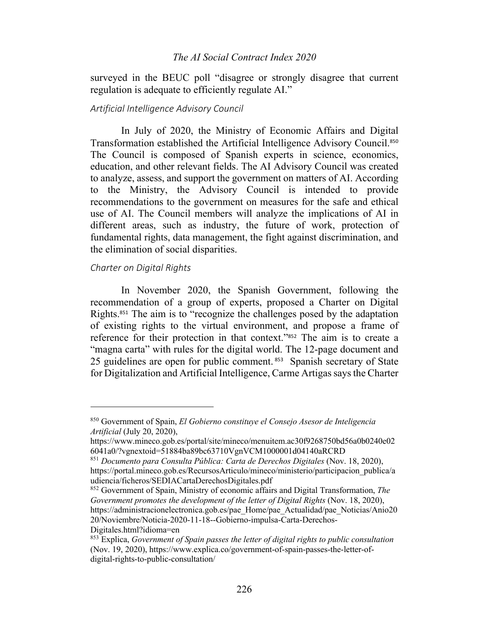## *The AI Social Contract Index 2020*

surveyed in the BEUC poll "disagree or strongly disagree that current regulation is adequate to efficiently regulate AI."

## *Artificial Intelligence Advisory Council*

In July of 2020, the Ministry of Economic Affairs and Digital Transformation established the Artificial Intelligence Advisory Council.<sup>850</sup> The Council is composed of Spanish experts in science, economics, education, and other relevant fields. The AI Advisory Council was created to analyze, assess, and support the government on matters of AI. According to the Ministry, the Advisory Council is intended to provide recommendations to the government on measures for the safe and ethical use of AI. The Council members will analyze the implications of AI in different areas, such as industry, the future of work, protection of fundamental rights, data management, the fight against discrimination, and the elimination of social disparities.

#### *Charter on Digital Rights*

In November 2020, the Spanish Government, following the recommendation of a group of experts, proposed a Charter on Digital Rights.<sup>851</sup> The aim is to "recognize the challenges posed by the adaptation of existing rights to the virtual environment, and propose a frame of reference for their protection in that context."<sup>852</sup> The aim is to create a "magna carta" with rules for the digital world. The 12-page document and 25 guidelines are open for public comment. <sup>853</sup> Spanish secretary of State for Digitalization and Artificial Intelligence, Carme Artigas says the Charter

<sup>852</sup> Government of Spain, Ministry of economic affairs and Digital Transformation, *The Government promotes the development of the letter of Digital Rights (Nov. 18, 2020),* https://administracionelectronica.gob.es/pae\_Home/pae\_Actualidad/pae\_Noticias/Anio20 20/Noviembre/Noticia-2020-11-18--Gobierno-impulsa-Carta-Derechos-Digitales.html?idioma=en

<sup>850</sup> Government of Spain, *El Gobierno constituye el Consejo Asesor de Inteligencia Artificial* (July 20, 2020),

https://www.mineco.gob.es/portal/site/mineco/menuitem.ac30f9268750bd56a0b0240e02 6041a0/?vgnextoid=51884ba89bc63710VgnVCM1000001d04140aRCRD

<sup>851</sup> *Documento para Consulta Pública: Carta de Derechos Digitales* (Nov. 18, 2020), https://portal.mineco.gob.es/RecursosArticulo/mineco/ministerio/participacion\_publica/a udiencia/ficheros/SEDIACartaDerechosDigitales.pdf

<sup>853</sup> Explica, *Government of Spain passes the letter of digital rights to public consultation* (Nov. 19, 2020), https://www.explica.co/government-of-spain-passes-the-letter-ofdigital-rights-to-public-consultation/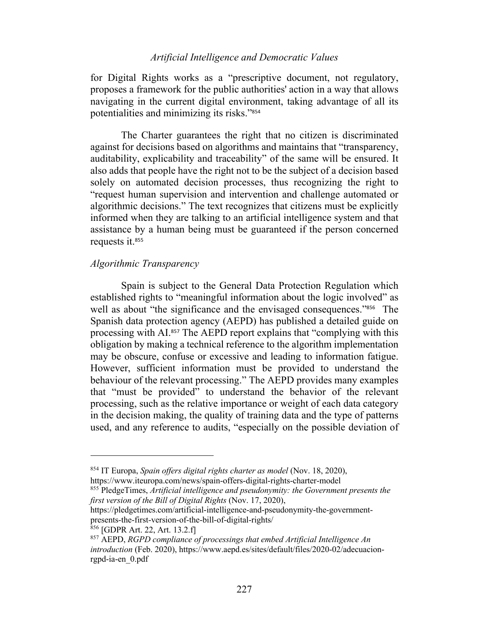# *Artificial Intelligence and Democratic Values*

for Digital Rights works as a "prescriptive document, not regulatory, proposes a framework for the public authorities' action in a way that allows navigating in the current digital environment, taking advantage of all its potentialities and minimizing its risks."<sup>854</sup>

The Charter guarantees the right that no citizen is discriminated against for decisions based on algorithms and maintains that "transparency, auditability, explicability and traceability" of the same will be ensured. It also adds that people have the right not to be the subject of a decision based solely on automated decision processes, thus recognizing the right to "request human supervision and intervention and challenge automated or algorithmic decisions." The text recognizes that citizens must be explicitly informed when they are talking to an artificial intelligence system and that assistance by a human being must be guaranteed if the person concerned requests it.<sup>855</sup>

# *Algorithmic Transparency*

Spain is subject to the General Data Protection Regulation which established rights to "meaningful information about the logic involved" as well as about "the significance and the envisaged consequences."<sup>856</sup> The Spanish data protection agency (AEPD) has published a detailed guide on processing with AI.<sup>857</sup> The AEPD report explains that "complying with this obligation by making a technical reference to the algorithm implementation may be obscure, confuse or excessive and leading to information fatigue. However, sufficient information must be provided to understand the behaviour of the relevant processing." The AEPD provides many examples that "must be provided" to understand the behavior of the relevant processing, such as the relative importance or weight of each data category in the decision making, the quality of training data and the type of patterns used, and any reference to audits, "especially on the possible deviation of

https://pledgetimes.com/artificial-intelligence-and-pseudonymity-the-governmentpresents-the-first-version-of-the-bill-of-digital-rights/

<sup>854</sup> IT Europa, *Spain offers digital rights charter as model* (Nov. 18, 2020), https://www.iteuropa.com/news/spain-offers-digital-rights-charter-model

<sup>855</sup> PledgeTimes, *Artificial intelligence and pseudonymity: the Government presents the first version of the Bill of Digital Rights* (Nov. 17, 2020),

 $856$  [GDPR Art. 22, Art. 13.2.f]

<sup>857</sup> AEPD, *RGPD compliance of processings that embed Artificial Intelligence An introduction* (Feb. 2020), https://www.aepd.es/sites/default/files/2020-02/adecuacionrgpd-ia-en\_0.pdf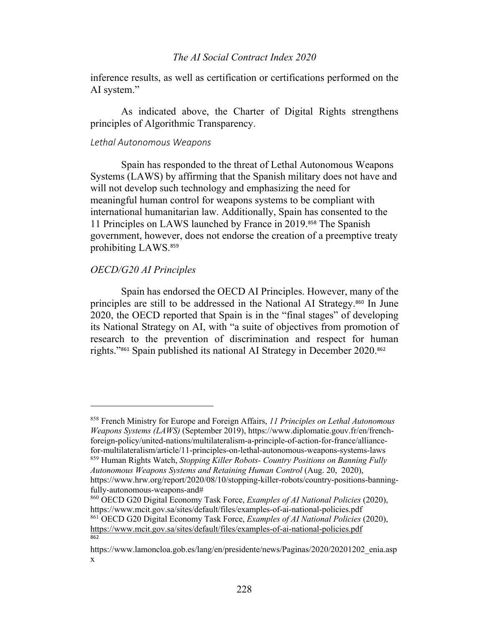## *The AI Social Contract Index 2020*

inference results, as well as certification or certifications performed on the AI system."

As indicated above, the Charter of Digital Rights strengthens principles of Algorithmic Transparency.

#### *Lethal Autonomous Weapons*

Spain has responded to the threat of Lethal Autonomous Weapons Systems (LAWS) by affirming that the Spanish military does not have and will not develop such technology and emphasizing the need for meaningful human control for weapons systems to be compliant with international humanitarian law. Additionally, Spain has consented to the 11 Principles on LAWS launched by France in 2019.<sup>858</sup> The Spanish government, however, does not endorse the creation of a preemptive treaty prohibiting LAWS. 859

# *OECD/G20 AI Principles*

Spain has endorsed the OECD AI Principles. However, many of the principles are still to be addressed in the National AI Strategy.<sup>860</sup> In June 2020, the OECD reported that Spain is in the "final stages" of developing its National Strategy on AI, with "a suite of objectives from promotion of research to the prevention of discrimination and respect for human rights."<sup>861</sup> Spain published its national AI Strategy in December 2020.<sup>862</sup>

<sup>858</sup> French Ministry for Europe and Foreign Affairs, *11 Principles on Lethal Autonomous Weapons Systems (LAWS)* (September 2019), https://www.diplomatie.gouv.fr/en/frenchforeign-policy/united-nations/multilateralism-a-principle-of-action-for-france/alliancefor-multilateralism/article/11-principles-on-lethal-autonomous-weapons-systems-laws

<sup>859</sup> Human Rights Watch, *Stopping Killer Robots- Country Positions on Banning Fully Autonomous Weapons Systems and Retaining Human Control* (Aug. 20, 2020), https://www.hrw.org/report/2020/08/10/stopping-killer-robots/country-positions-banning-

fully-autonomous-weapons-and# <sup>860</sup> OECD G20 Digital Economy Task Force, *Examples of AI National Policies* (2020), https://www.mcit.gov.sa/sites/default/files/examples-of-ai-national-policies.pdf

<sup>861</sup> OECD G20 Digital Economy Task Force, *Examples of AI National Policies* (2020), https://www.mcit.gov.sa/sites/default/files/examples-of-ai-national-policies.pdf  $862$ 

https://www.lamoncloa.gob.es/lang/en/presidente/news/Paginas/2020/20201202\_enia.asp x